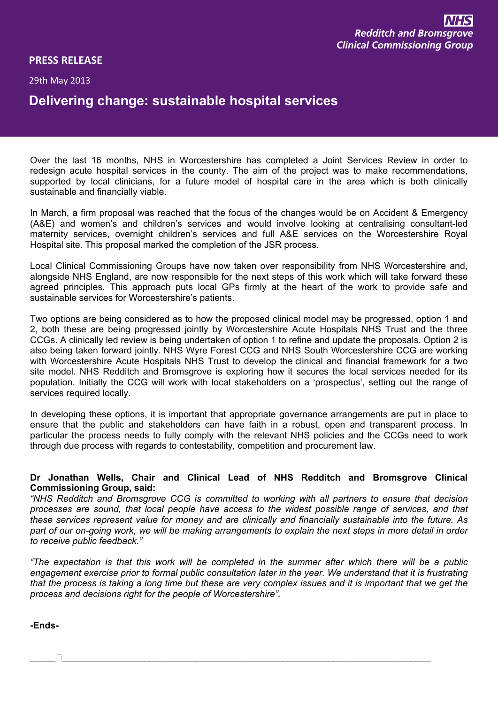## **PRESS RELEASE**

29th May 2013

## **Delivering change: sustainable hospital services**

Over the last 16 months, NHS in Worcestershire has completed a Joint Services Review in order to redesign acute hospital services in the county. The aim of the project was to make recommendations, supported by local clinicians, for a future model of hospital care in the area which is both clinically sustainable and financially viable.

In March, a firm proposal was reached that the focus of the changes would be on Accident & Emergency (A&E) and women's and children's services and would involve looking at centralising consultant-led maternity services, overnight children's services and full A&E services on the Worcestershire Royal Hospital site. This proposal marked the completion of the JSR process.

Local Clinical Commissioning Groups have now taken over responsibility from NHS Worcestershire and, alongside NHS England, are now responsible for the next steps of this work which will take forward these agreed principles. This approach puts local GPs firmly at the heart of the work to provide safe and sustainable services for Worcestershire's patients.

Two options are being considered as to how the proposed clinical model may be progressed, option 1 and 2, both these are being progressed jointly by Worcestershire Acute Hospitals NHS Trust and the three CCGs. A clinically led review is being undertaken of option 1 to refine and update the proposals. Option 2 is also being taken forward jointly. NHS Wyre Forest CCG and NHS South Worcestershire CCG are working with Worcestershire Acute Hospitals NHS Trust to develop the clinical and financial framework for a two site model. NHS Redditch and Bromsgrove is exploring how it secures the local services needed for its population. Initially the CCG will work with local stakeholders on a 'prospectus', setting out the range of services required locally.

In developing these options, it is important that appropriate governance arrangements are put in place to ensure that the public and stakeholders can have faith in a robust, open and transparent process. In particular the process needs to fully comply with the relevant NHS policies and the CCGs need to work through due process with regards to contestability, competition and procurement law.

## **Dr Jonathan Wells, Chair and Clinical Lead of NHS Redditch and Bromsgrove Clinical Commissioning Group, said:**

*"NHS Redditch and Bromsgrove CCG is committed to working with all partners to ensure that decision processes are sound, that local people have access to the widest possible range of services, and that these services represent value for money and are clinically and financially sustainable into the future. As* part of our on-going work, we will be making arrangements to explain the next steps in more detail in order *to receive public feedback."*

"The expectation is that this work will be completed in the summer after which there will be a public engagement exercise prior to formal public consultation later in the year. We understand that it is frustrating that the process is taking a long time but these are very complex issues and it is important that we get the *process and decisions right for the people of Worcestershire".*

\_\_\_\_\_\_\_\_\_\_\_\_\_\_\_\_\_\_\_\_\_\_\_\_\_\_\_\_\_\_\_\_\_\_\_\_\_\_\_\_\_\_\_\_\_\_\_\_\_\_\_\_\_\_\_\_\_\_\_\_\_\_\_\_\_\_\_\_\_\_\_\_\_\_\_\_\_

**-Ends-**